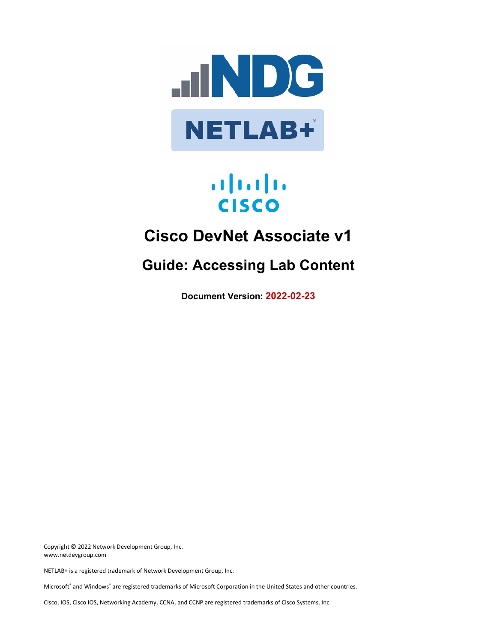

# $\mathbf{d}$  and  $\mathbf{d}$ **CISCO**

# **Cisco DevNet Associate v1**

# **Guide: Accessing Lab Content**

**Document Version: 2022-02-23**

Copyright © 2022 Network Development Group, Inc. www.netdevgroup.com

NETLAB+ is a registered trademark of Network Development Group, Inc.

Microsoft® and Windows® are registered trademarks of Microsoft Corporation in the United States and other countries.

Cisco, IOS, Cisco IOS, Networking Academy, CCNA, and CCNP are registered trademarks of Cisco Systems, Inc.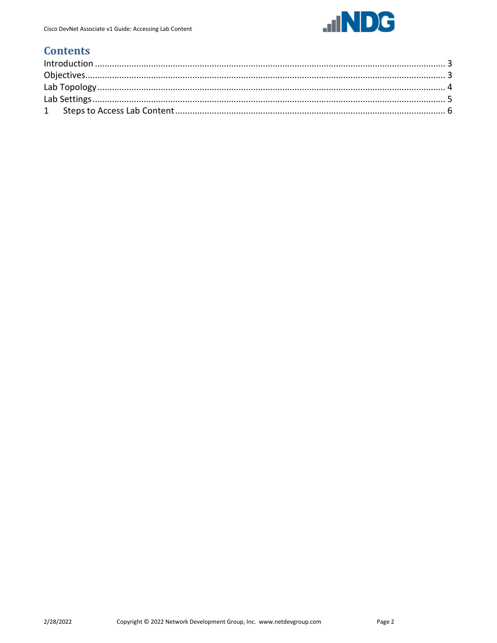

# **Contents**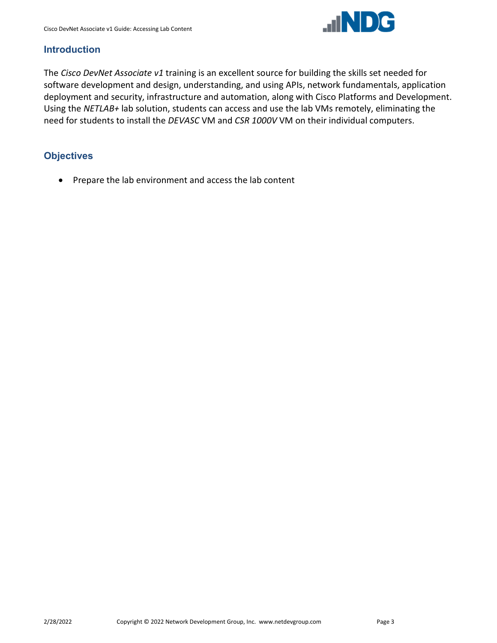

#### **Introduction**

The *Cisco DevNet Associate v1* training is an excellent source for building the skills set needed for software development and design, understanding, and using APIs, network fundamentals, application deployment and security, infrastructure and automation, along with Cisco Platforms and Development. Using the *NETLAB+* lab solution, students can access and use the lab VMs remotely, eliminating the need for students to install the *DEVASC* VM and *CSR 1000V* VM on their individual computers.

### **Objectives**

• Prepare the lab environment and access the lab content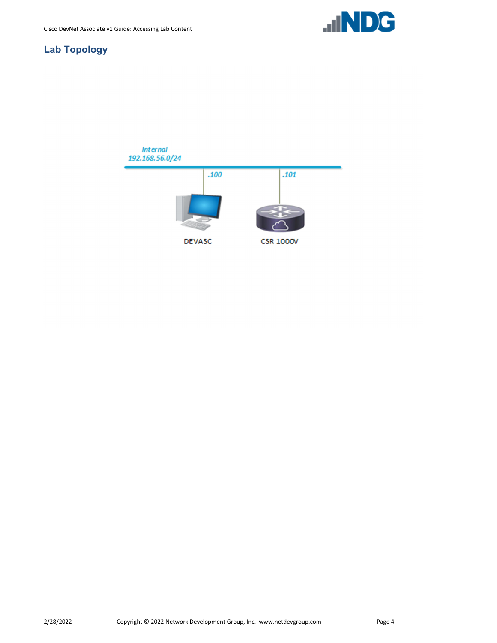

# **Lab Topology**

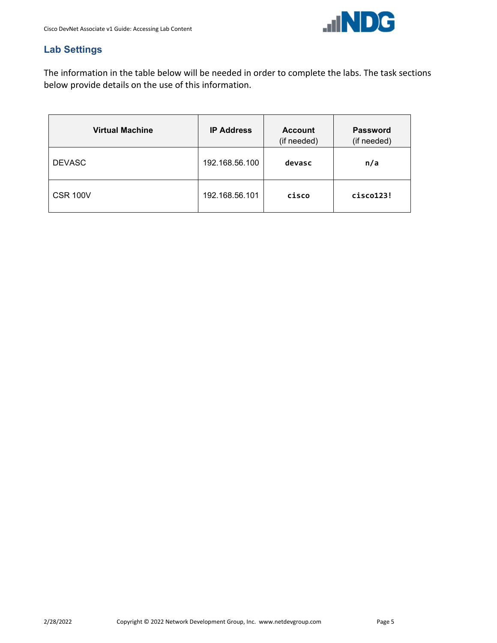

# **Lab Settings**

The information in the table below will be needed in order to complete the labs. The task sections below provide details on the use of this information.

| <b>Virtual Machine</b> | <b>IP Address</b> | <b>Account</b><br>(if needed) | <b>Password</b><br>(if needed) |
|------------------------|-------------------|-------------------------------|--------------------------------|
| <b>DEVASC</b>          | 192.168.56.100    | devasc                        | n/a                            |
| <b>CSR 100V</b>        | 192.168.56.101    | cisco                         | cisco123!                      |